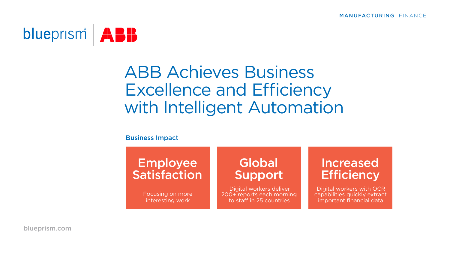

# ABB Achieves Business Excellence and Efficiency with Intelligent Automation

### Business Impact

## Employee **Satisfaction**

Focusing on more interesting work

## Global Support

 Digital workers deliver 200+ reports each morning to staff in 25 countries

### Increased **Efficiency**

 Digital workers with OCR capabilities quickly extract important financial data

[blueprism.com](https://www.blueprism.com)